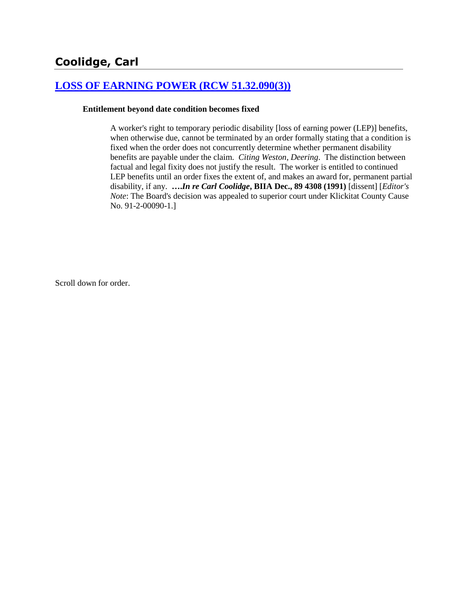# **[LOSS OF EARNING POWER \(RCW 51.32.090\(3\)\)](http://www.biia.wa.gov/SDSubjectIndex.html#LOSS_OF_EARNING_POWER)**

#### **Entitlement beyond date condition becomes fixed**

A worker's right to temporary periodic disability [loss of earning power (LEP)] benefits, when otherwise due, cannot be terminated by an order formally stating that a condition is fixed when the order does not concurrently determine whether permanent disability benefits are payable under the claim. *Citing Weston*, *Deering*. The distinction between factual and legal fixity does not justify the result. The worker is entitled to continued LEP benefits until an order fixes the extent of, and makes an award for, permanent partial disability, if any. **….***In re Carl Coolidge***, BIIA Dec., 89 4308 (1991)** [dissent] [*Editor's Note*: The Board's decision was appealed to superior court under Klickitat County Cause No. 91-2-00090-1.]

Scroll down for order.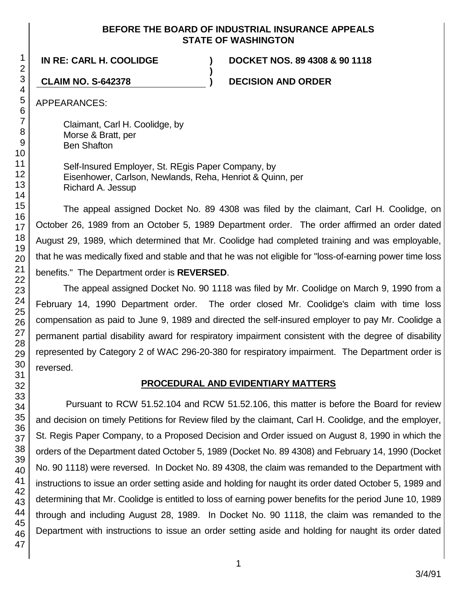#### **BEFORE THE BOARD OF INDUSTRIAL INSURANCE APPEALS STATE OF WASHINGTON**

**)**

**IN RE: CARL H. COOLIDGE ) DOCKET NOS. 89 4308 & 90 1118**

**CLAIM NO. S-642378 ) DECISION AND ORDER**

APPEARANCES:

Claimant, Carl H. Coolidge, by Morse & Bratt, per Ben Shafton

Self-Insured Employer, St. REgis Paper Company, by Eisenhower, Carlson, Newlands, Reha, Henriot & Quinn, per Richard A. Jessup

The appeal assigned Docket No. 89 4308 was filed by the claimant, Carl H. Coolidge, on October 26, 1989 from an October 5, 1989 Department order. The order affirmed an order dated August 29, 1989, which determined that Mr. Coolidge had completed training and was employable, that he was medically fixed and stable and that he was not eligible for "loss-of-earning power time loss benefits." The Department order is **REVERSED**.

The appeal assigned Docket No. 90 1118 was filed by Mr. Coolidge on March 9, 1990 from a February 14, 1990 Department order. The order closed Mr. Coolidge's claim with time loss compensation as paid to June 9, 1989 and directed the self-insured employer to pay Mr. Coolidge a permanent partial disability award for respiratory impairment consistent with the degree of disability represented by Category 2 of WAC 296-20-380 for respiratory impairment. The Department order is reversed.

## **PROCEDURAL AND EVIDENTIARY MATTERS**

Pursuant to RCW 51.52.104 and RCW 51.52.106, this matter is before the Board for review and decision on timely Petitions for Review filed by the claimant, Carl H. Coolidge, and the employer, St. Regis Paper Company, to a Proposed Decision and Order issued on August 8, 1990 in which the orders of the Department dated October 5, 1989 (Docket No. 89 4308) and February 14, 1990 (Docket No. 90 1118) were reversed. In Docket No. 89 4308, the claim was remanded to the Department with instructions to issue an order setting aside and holding for naught its order dated October 5, 1989 and determining that Mr. Coolidge is entitled to loss of earning power benefits for the period June 10, 1989 through and including August 28, 1989. In Docket No. 90 1118, the claim was remanded to the Department with instructions to issue an order setting aside and holding for naught its order dated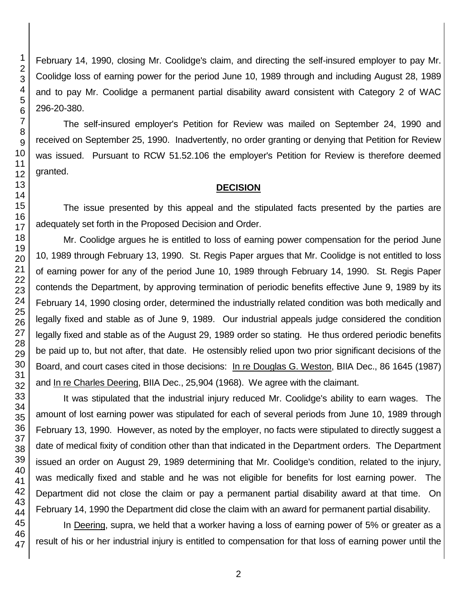February 14, 1990, closing Mr. Coolidge's claim, and directing the self-insured employer to pay Mr. Coolidge loss of earning power for the period June 10, 1989 through and including August 28, 1989 and to pay Mr. Coolidge a permanent partial disability award consistent with Category 2 of WAC 296-20-380.

The self-insured employer's Petition for Review was mailed on September 24, 1990 and received on September 25, 1990. Inadvertently, no order granting or denying that Petition for Review was issued. Pursuant to RCW 51.52.106 the employer's Petition for Review is therefore deemed granted.

#### **DECISION**

The issue presented by this appeal and the stipulated facts presented by the parties are adequately set forth in the Proposed Decision and Order.

Mr. Coolidge argues he is entitled to loss of earning power compensation for the period June 10, 1989 through February 13, 1990. St. Regis Paper argues that Mr. Coolidge is not entitled to loss of earning power for any of the period June 10, 1989 through February 14, 1990. St. Regis Paper contends the Department, by approving termination of periodic benefits effective June 9, 1989 by its February 14, 1990 closing order, determined the industrially related condition was both medically and legally fixed and stable as of June 9, 1989. Our industrial appeals judge considered the condition legally fixed and stable as of the August 29, 1989 order so stating. He thus ordered periodic benefits be paid up to, but not after, that date. He ostensibly relied upon two prior significant decisions of the Board, and court cases cited in those decisions: In re Douglas G. Weston, BIIA Dec., 86 1645 (1987) and In re Charles Deering, BIIA Dec., 25,904 (1968). We agree with the claimant.

It was stipulated that the industrial injury reduced Mr. Coolidge's ability to earn wages. The amount of lost earning power was stipulated for each of several periods from June 10, 1989 through February 13, 1990. However, as noted by the employer, no facts were stipulated to directly suggest a date of medical fixity of condition other than that indicated in the Department orders. The Department issued an order on August 29, 1989 determining that Mr. Coolidge's condition, related to the injury, was medically fixed and stable and he was not eligible for benefits for lost earning power. The Department did not close the claim or pay a permanent partial disability award at that time. On February 14, 1990 the Department did close the claim with an award for permanent partial disability.

In Deering, supra, we held that a worker having a loss of earning power of 5% or greater as a result of his or her industrial injury is entitled to compensation for that loss of earning power until the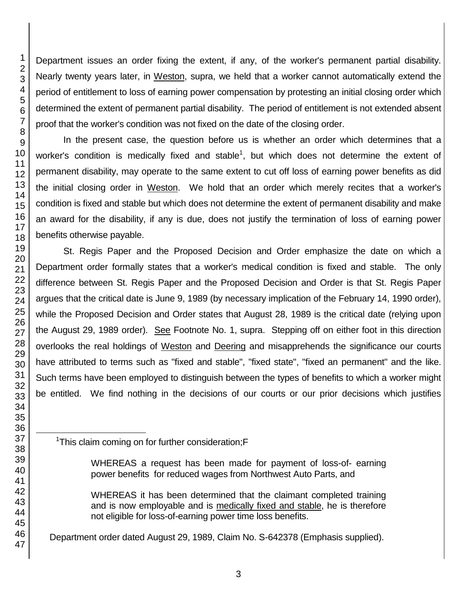Department issues an order fixing the extent, if any, of the worker's permanent partial disability. Nearly twenty years later, in Weston, supra, we held that a worker cannot automatically extend the period of entitlement to loss of earning power compensation by protesting an initial closing order which determined the extent of permanent partial disability. The period of entitlement is not extended absent proof that the worker's condition was not fixed on the date of the closing order.

In the present case, the question before us is whether an order which determines that a worker's condition is medically fixed and stable<sup>1</sup>, but which does not determine the extent of permanent disability, may operate to the same extent to cut off loss of earning power benefits as did the initial closing order in Weston. We hold that an order which merely recites that a worker's condition is fixed and stable but which does not determine the extent of permanent disability and make an award for the disability, if any is due, does not justify the termination of loss of earning power benefits otherwise payable.

St. Regis Paper and the Proposed Decision and Order emphasize the date on which a Department order formally states that a worker's medical condition is fixed and stable. The only difference between St. Regis Paper and the Proposed Decision and Order is that St. Regis Paper argues that the critical date is June 9, 1989 (by necessary implication of the February 14, 1990 order), while the Proposed Decision and Order states that August 28, 1989 is the critical date (relying upon the August 29, 1989 order). See Footnote No. 1, supra. Stepping off on either foot in this direction overlooks the real holdings of Weston and Deering and misapprehends the significance our courts have attributed to terms such as "fixed and stable", "fixed state", "fixed an permanent" and the like. Such terms have been employed to distinguish between the types of benefits to which a worker might be entitled. We find nothing in the decisions of our courts or our prior decisions which justifies

<sup>1</sup>This claim coming on for further consideration;F

WHEREAS it has been determined that the claimant completed training and is now employable and is medically fixed and stable, he is therefore not eligible for loss-of-earning power time loss benefits.

Department order dated August 29, 1989, Claim No. S-642378 (Emphasis supplied).

l

WHEREAS a request has been made for payment of loss-of- earning power benefits for reduced wages from Northwest Auto Parts, and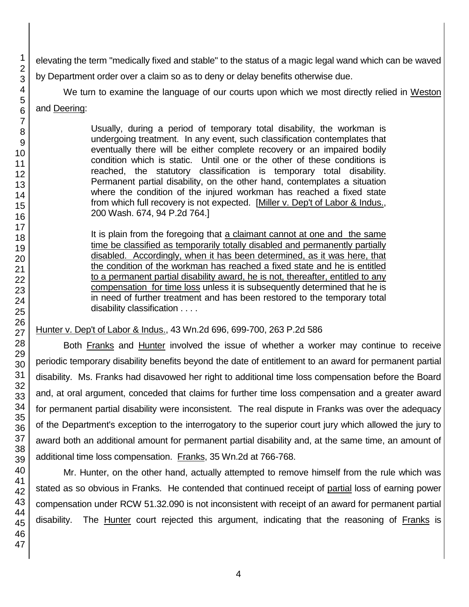elevating the term "medically fixed and stable" to the status of a magic legal wand which can be waved by Department order over a claim so as to deny or delay benefits otherwise due.

We turn to examine the language of our courts upon which we most directly relied in Weston

## and Deering:

Usually, during a period of temporary total disability, the workman is undergoing treatment. In any event, such classification contemplates that eventually there will be either complete recovery or an impaired bodily condition which is static. Until one or the other of these conditions is reached, the statutory classification is temporary total disability. Permanent partial disability, on the other hand, contemplates a situation where the condition of the injured workman has reached a fixed state from which full recovery is not expected. [Miller v. Dep't of Labor & Indus., 200 Wash. 674, 94 P.2d 764.]

It is plain from the foregoing that a claimant cannot at one and the same time be classified as temporarily totally disabled and permanently partially disabled. Accordingly, when it has been determined, as it was here, that the condition of the workman has reached a fixed state and he is entitled to a permanent partial disability award, he is not, thereafter, entitled to any compensation for time loss unless it is subsequently determined that he is in need of further treatment and has been restored to the temporary total disability classification . . . .

## Hunter v. Dep't of Labor & Indus., 43 Wn.2d 696, 699-700, 263 P.2d 586

Both Franks and Hunter involved the issue of whether a worker may continue to receive periodic temporary disability benefits beyond the date of entitlement to an award for permanent partial disability. Ms. Franks had disavowed her right to additional time loss compensation before the Board and, at oral argument, conceded that claims for further time loss compensation and a greater award for permanent partial disability were inconsistent. The real dispute in Franks was over the adequacy of the Department's exception to the interrogatory to the superior court jury which allowed the jury to award both an additional amount for permanent partial disability and, at the same time, an amount of additional time loss compensation. Franks, 35 Wn.2d at 766-768.

Mr. Hunter, on the other hand, actually attempted to remove himself from the rule which was stated as so obvious in Franks. He contended that continued receipt of partial loss of earning power compensation under RCW 51.32.090 is not inconsistent with receipt of an award for permanent partial disability. The Hunter court rejected this argument, indicating that the reasoning of Franks is

1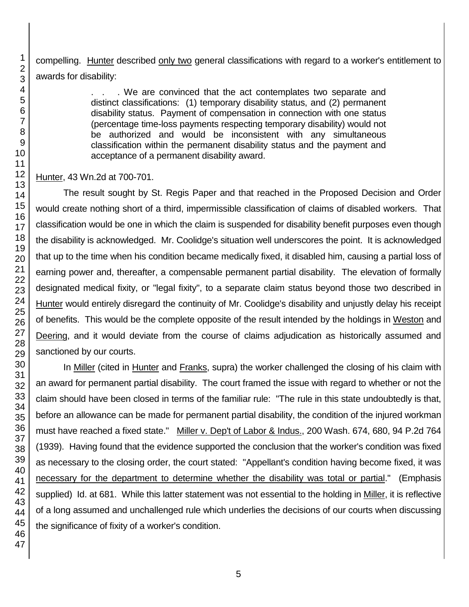compelling. Hunter described only two general classifications with regard to a worker's entitlement to awards for disability:

> . We are convinced that the act contemplates two separate and distinct classifications: (1) temporary disability status, and (2) permanent disability status. Payment of compensation in connection with one status (percentage time-loss payments respecting temporary disability) would not be authorized and would be inconsistent with any simultaneous classification within the permanent disability status and the payment and acceptance of a permanent disability award.

Hunter, 43 Wn.2d at 700-701.

The result sought by St. Regis Paper and that reached in the Proposed Decision and Order would create nothing short of a third, impermissible classification of claims of disabled workers. That classification would be one in which the claim is suspended for disability benefit purposes even though the disability is acknowledged. Mr. Coolidge's situation well underscores the point. It is acknowledged that up to the time when his condition became medically fixed, it disabled him, causing a partial loss of earning power and, thereafter, a compensable permanent partial disability. The elevation of formally designated medical fixity, or "legal fixity", to a separate claim status beyond those two described in Hunter would entirely disregard the continuity of Mr. Coolidge's disability and unjustly delay his receipt of benefits. This would be the complete opposite of the result intended by the holdings in Weston and Deering, and it would deviate from the course of claims adjudication as historically assumed and sanctioned by our courts.

In Miller (cited in Hunter and Franks, supra) the worker challenged the closing of his claim with an award for permanent partial disability. The court framed the issue with regard to whether or not the claim should have been closed in terms of the familiar rule: "The rule in this state undoubtedly is that, before an allowance can be made for permanent partial disability, the condition of the injured workman must have reached a fixed state." Miller v. Dep't of Labor & Indus., 200 Wash. 674, 680, 94 P.2d 764 (1939). Having found that the evidence supported the conclusion that the worker's condition was fixed as necessary to the closing order, the court stated: "Appellant's condition having become fixed, it was necessary for the department to determine whether the disability was total or partial." (Emphasis supplied) Id. at 681. While this latter statement was not essential to the holding in Miller, it is reflective of a long assumed and unchallenged rule which underlies the decisions of our courts when discussing the significance of fixity of a worker's condition.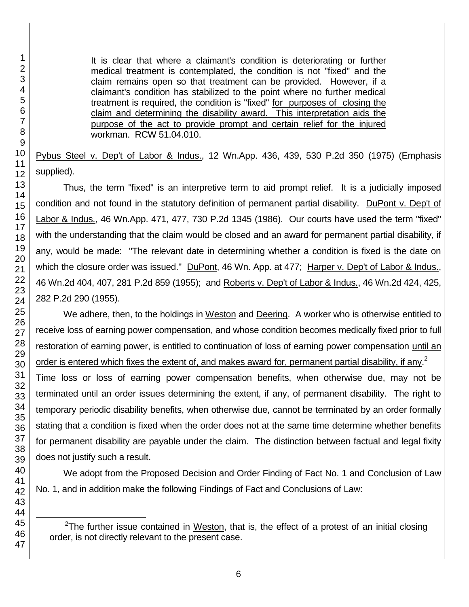l

1

It is clear that where a claimant's condition is deteriorating or further medical treatment is contemplated, the condition is not "fixed" and the claim remains open so that treatment can be provided. However, if a claimant's condition has stabilized to the point where no further medical treatment is required, the condition is "fixed" for purposes of closing the claim and determining the disability award. This interpretation aids the purpose of the act to provide prompt and certain relief for the injured workman. RCW 51.04.010.

Pybus Steel v. Dep't of Labor & Indus., 12 Wn.App. 436, 439, 530 P.2d 350 (1975) (Emphasis supplied).

Thus, the term "fixed" is an interpretive term to aid prompt relief. It is a judicially imposed condition and not found in the statutory definition of permanent partial disability. DuPont v. Dep't of Labor & Indus., 46 Wn.App. 471, 477, 730 P.2d 1345 (1986). Our courts have used the term "fixed" with the understanding that the claim would be closed and an award for permanent partial disability, if any, would be made: "The relevant date in determining whether a condition is fixed is the date on which the closure order was issued." DuPont, 46 Wn. App. at 477; Harper v. Dep't of Labor & Indus., 46 Wn.2d 404, 407, 281 P.2d 859 (1955); and Roberts v. Dep't of Labor & Indus., 46 Wn.2d 424, 425, 282 P.2d 290 (1955).

We adhere, then, to the holdings in Weston and Deering. A worker who is otherwise entitled to receive loss of earning power compensation, and whose condition becomes medically fixed prior to full restoration of earning power, is entitled to continuation of loss of earning power compensation until an order is entered which fixes the extent of, and makes award for, permanent partial disability, if any.<sup>2</sup>

Time loss or loss of earning power compensation benefits, when otherwise due, may not be terminated until an order issues determining the extent, if any, of permanent disability. The right to temporary periodic disability benefits, when otherwise due, cannot be terminated by an order formally stating that a condition is fixed when the order does not at the same time determine whether benefits for permanent disability are payable under the claim. The distinction between factual and legal fixity does not justify such a result.

We adopt from the Proposed Decision and Order Finding of Fact No. 1 and Conclusion of Law No. 1, and in addition make the following Findings of Fact and Conclusions of Law:

<sup>&</sup>lt;sup>2</sup>The further issue contained in Weston, that is, the effect of a protest of an initial closing order, is not directly relevant to the present case.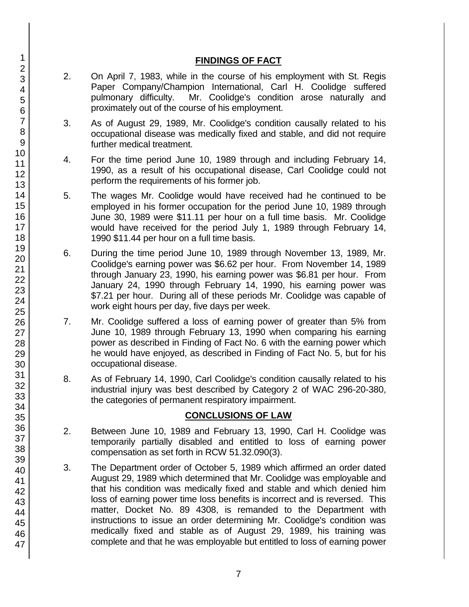## **FINDINGS OF FACT**

- 2. On April 7, 1983, while in the course of his employment with St. Regis Paper Company/Champion International, Carl H. Coolidge suffered pulmonary difficulty. Mr. Coolidge's condition arose naturally and proximately out of the course of his employment.
- 3. As of August 29, 1989, Mr. Coolidge's condition causally related to his occupational disease was medically fixed and stable, and did not require further medical treatment.
- 4. For the time period June 10, 1989 through and including February 14, 1990, as a result of his occupational disease, Carl Coolidge could not perform the requirements of his former job.
- 5. The wages Mr. Coolidge would have received had he continued to be employed in his former occupation for the period June 10, 1989 through June 30, 1989 were \$11.11 per hour on a full time basis. Mr. Coolidge would have received for the period July 1, 1989 through February 14, 1990 \$11.44 per hour on a full time basis.
- 6. During the time period June 10, 1989 through November 13, 1989, Mr. Coolidge's earning power was \$6.62 per hour. From November 14, 1989 through January 23, 1990, his earning power was \$6.81 per hour. From January 24, 1990 through February 14, 1990, his earning power was \$7.21 per hour. During all of these periods Mr. Coolidge was capable of work eight hours per day, five days per week.
- 7. Mr. Coolidge suffered a loss of earning power of greater than 5% from June 10, 1989 through February 13, 1990 when comparing his earning power as described in Finding of Fact No. 6 with the earning power which he would have enjoyed, as described in Finding of Fact No. 5, but for his occupational disease.
- 8. As of February 14, 1990, Carl Coolidge's condition causally related to his industrial injury was best described by Category 2 of WAC 296-20-380, the categories of permanent respiratory impairment.

## **CONCLUSIONS OF LAW**

- 2. Between June 10, 1989 and February 13, 1990, Carl H. Coolidge was temporarily partially disabled and entitled to loss of earning power compensation as set forth in RCW 51.32.090(3).
- 3. The Department order of October 5, 1989 which affirmed an order dated August 29, 1989 which determined that Mr. Coolidge was employable and that his condition was medically fixed and stable and which denied him loss of earning power time loss benefits is incorrect and is reversed. This matter, Docket No. 89 4308, is remanded to the Department with instructions to issue an order determining Mr. Coolidge's condition was medically fixed and stable as of August 29, 1989, his training was complete and that he was employable but entitled to loss of earning power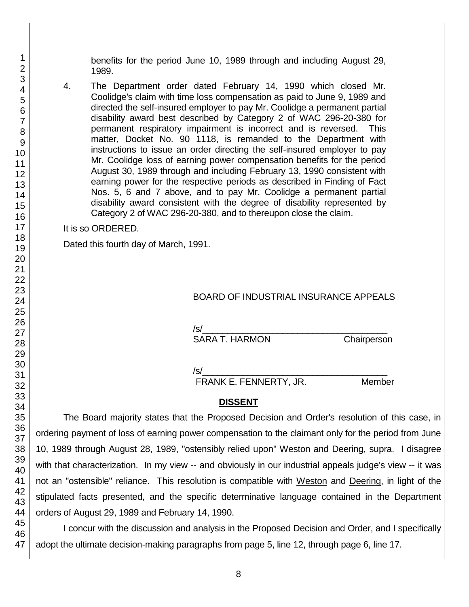benefits for the period June 10, 1989 through and including August 29, 1989.

4. The Department order dated February 14, 1990 which closed Mr. Coolidge's claim with time loss compensation as paid to June 9, 1989 and directed the self-insured employer to pay Mr. Coolidge a permanent partial disability award best described by Category 2 of WAC 296-20-380 for permanent respiratory impairment is incorrect and is reversed. This matter, Docket No. 90 1118, is remanded to the Department with instructions to issue an order directing the self-insured employer to pay Mr. Coolidge loss of earning power compensation benefits for the period August 30, 1989 through and including February 13, 1990 consistent with earning power for the respective periods as described in Finding of Fact Nos. 5, 6 and 7 above, and to pay Mr. Coolidge a permanent partial disability award consistent with the degree of disability represented by Category 2 of WAC 296-20-380, and to thereupon close the claim.

It is so ORDERED.

Dated this fourth day of March, 1991.

#### BOARD OF INDUSTRIAL INSURANCE APPEALS

/s/\_\_\_\_\_\_\_\_\_\_\_\_\_\_\_\_\_\_\_\_\_\_\_\_\_\_\_\_\_\_\_\_\_\_\_\_\_ SARA T. HARMON

/s/\_\_\_\_\_\_\_\_\_\_\_\_\_\_\_\_\_\_\_\_\_\_\_\_\_\_\_\_\_\_\_\_\_\_\_\_\_

FRANK E. FENNERTY, JR. Member

#### **DISSENT**

The Board majority states that the Proposed Decision and Order's resolution of this case, in ordering payment of loss of earning power compensation to the claimant only for the period from June 10, 1989 through August 28, 1989, "ostensibly relied upon" Weston and Deering, supra. I disagree with that characterization. In my view -- and obviously in our industrial appeals judge's view -- it was not an "ostensible" reliance. This resolution is compatible with Weston and Deering, in light of the stipulated facts presented, and the specific determinative language contained in the Department orders of August 29, 1989 and February 14, 1990.

I concur with the discussion and analysis in the Proposed Decision and Order, and I specifically adopt the ultimate decision-making paragraphs from page 5, line 12, through page 6, line 17.